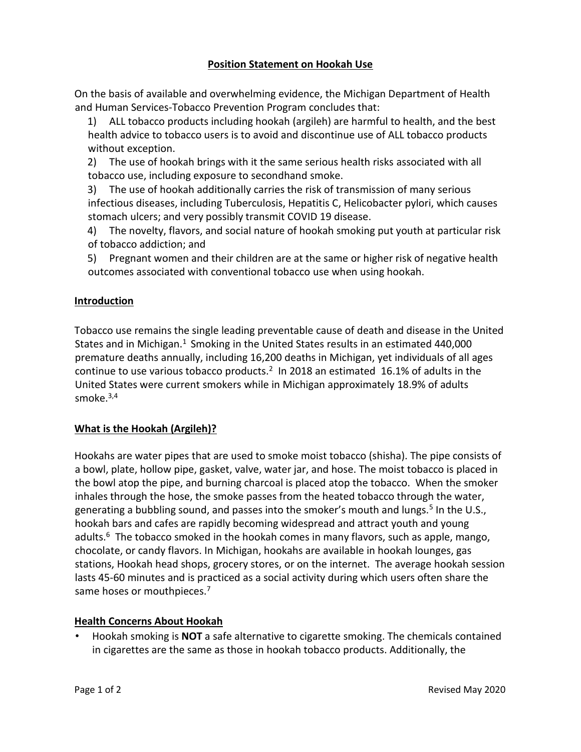## **Position Statement on Hookah Use**

On the basis of available and overwhelming evidence, the Michigan Department of Health and Human Services-Tobacco Prevention Program concludes that:

1) ALL tobacco products including hookah (argileh) are harmful to health, and the best health advice to tobacco users is to avoid and discontinue use of ALL tobacco products without exception.

2) The use of hookah brings with it the same serious health risks associated with all tobacco use, including exposure to secondhand smoke.

3) The use of hookah additionally carries the risk of transmission of many serious infectious diseases, including Tuberculosis, Hepatitis C, Helicobacter pylori, which causes stomach ulcers; and very possibly transmit COVID 19 disease.

4) The novelty, flavors, and social nature of hookah smoking put youth at particular risk of tobacco addiction; and

5) Pregnant women and their children are at the same or higher risk of negative health outcomes associated with conventional tobacco use when using hookah.

## **Introduction**

Tobacco use remains the single leading preventable cause of death and disease in the United States and in Michigan. $1$  Smoking in the United States results in an estimated 440,000 premature deaths annually, including 16,200 deaths in Michigan, yet individuals of all ages continue to use various tobacco products.<sup>2</sup> In 2018 an estimated 16.1% of adults in the United States were current smokers while in Michigan approximately 18.9% of adults smoke. $3,4$ 

## **What is the Hookah (Argileh)?**

Hookahs are water pipes that are used to smoke moist tobacco (shisha). The pipe consists of a bowl, plate, hollow pipe, gasket, valve, water jar, and hose. The moist tobacco is placed in the bowl atop the pipe, and burning charcoal is placed atop the tobacco. When the smoker inhales through the hose, the smoke passes from the heated tobacco through the water, generating a bubbling sound, and passes into the smoker's mouth and lungs.<sup>5</sup> In the U.S., hookah bars and cafes are rapidly becoming widespread and attract youth and young adults.<sup>6</sup> The tobacco smoked in the hookah comes in many flavors, such as apple, mango, chocolate, or candy flavors. In Michigan, hookahs are available in hookah lounges, gas stations, Hookah head shops, grocery stores, or on the internet. The average hookah session lasts 45-60 minutes and is practiced as a social activity during which users often share the same hoses or mouthpieces.<sup>7</sup>

## **Health Concerns About Hookah**

• Hookah smoking is **NOT** a safe alternative to cigarette smoking. The chemicals contained in cigarettes are the same as those in hookah tobacco products. Additionally, the